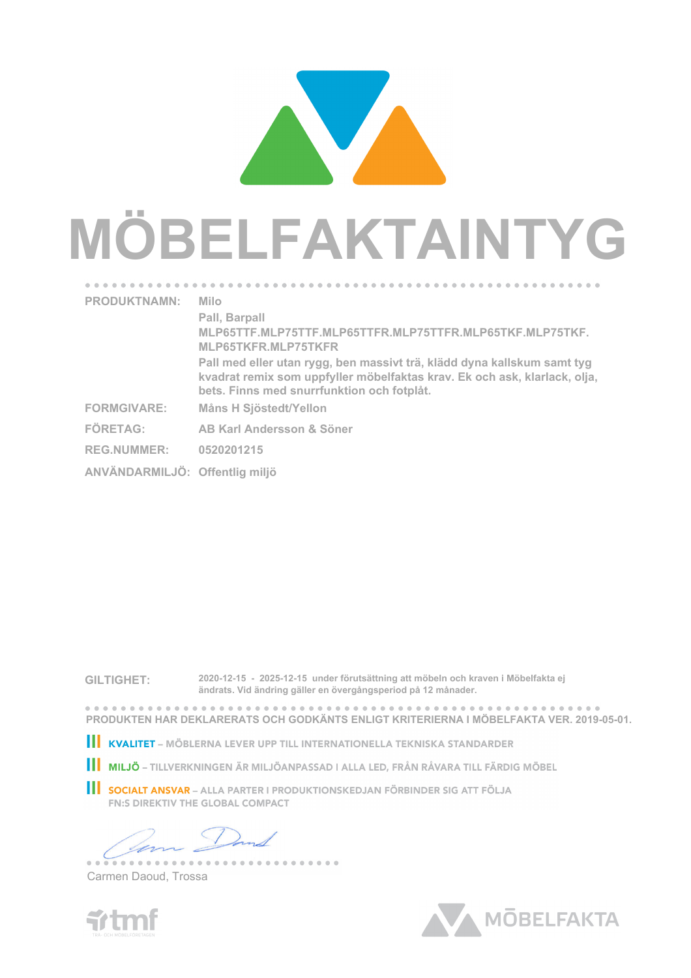## **MÖBELFAKTAINTYG PRODUKTNAMN: Milo Pall, Barpall MLP65TTF.MLP75TTF.MLP65TTFR.MLP75TTFR.MLP65TKF.MLP75TKF.**

**Pall med eller utan rygg, ben massivt trä, klädd dyna kallskum samt tyg kvadrat remix som uppfyller möbelfaktas krav. Ek och ask, klarlack, olja,**

**GILTIGHET: 2020-12-15 - 2025-12-15 under förutsättning att möbeln och kraven i Möbelfakta ej ändrats. Vid ändring gäller en övergångsperiod på 12 månader.**

**bets. Finns med snurrfunktion och fotplåt.**

**MLP65TKFR.MLP75TKFR**

**FORMGIVARE: Måns H Sjöstedt/Yellon**

**FÖRETAG: AB Karl Andersson & Söner**

**ANVÄNDARMILJÖ: Offentlig miljö**

**REG.NUMMER: 0520201215**

**PRODUKTEN HAR DEKLARERATS OCH GODKÄNTS ENLIGT KRITERIERNA I MÖBELFAKTA VER. 2019-05-01.**

- KVALITET MÖBLERNA LEVER UPP TILL INTERNATIONELLA TEKNISKA STANDARDER
- **II MILJÖ** TILLVERKNINGEN ÄR MILJÖANPASSAD I ALLA LED, FRÅN RÅVARA TILL FÄRDIG MÖBEL
- **SOCIALT ANSVAR** ALLA PARTER I PRODUKTIONSKEDJAN FÖRBINDER SIG ATT FÖLJA **FN:S DIREKTIV THE GLOBAL COMPACT**

--------

Carmen Daoud, Trossa